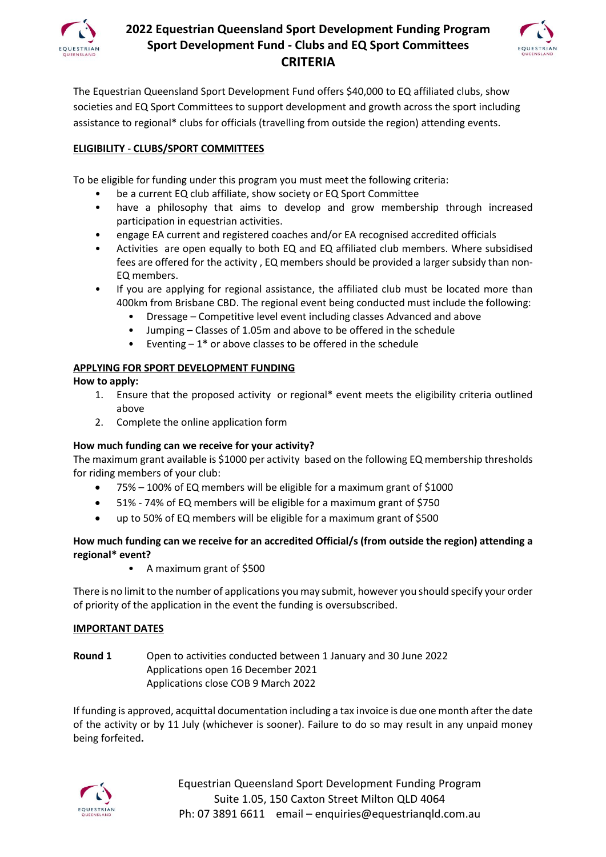

# **2022 Equestrian Queensland Sport Development Funding Program Sport Development Fund - Clubs and EQ Sport Committees CRITERIA**



The Equestrian Queensland Sport Development Fund offers \$40,000 to EQ affiliated clubs, show societies and EQ Sport Committees to support development and growth across the sport including assistance to regional\* clubs for officials (travelling from outside the region) attending events.

### **ELIGIBILITY** - **CLUBS/SPORT COMMITTEES**

To be eligible for funding under this program you must meet the following criteria:

- be a current EQ club affiliate, show society or EQ Sport Committee
- have a philosophy that aims to develop and grow membership through increased participation in equestrian activities.
- engage EA current and registered coaches and/or EA recognised accredited officials
- Activities are open equally to both EQ and EQ affiliated club members. Where subsidised fees are offered for the activity , EQ members should be provided a larger subsidy than non-EQ members.
- If you are applying for regional assistance, the affiliated club must be located more than 400km from Brisbane CBD. The regional event being conducted must include the following:
	- Dressage Competitive level event including classes Advanced and above
	- Jumping Classes of 1.05m and above to be offered in the schedule
	- Eventing  $-1$ <sup>\*</sup> or above classes to be offered in the schedule

### **APPLYING FOR SPORT DEVELOPMENT FUNDING**

**How to apply:**

- 1. Ensure that the proposed activity or regional\* event meets the eligibility criteria outlined above
- 2. Complete the online application form

### **How much funding can we receive for your activity?**

The maximum grant available is \$1000 per activity based on the following EQ membership thresholds for riding members of your club:

- 75% 100% of EQ members will be eligible for a maximum grant of \$1000
- 51% 74% of EQ members will be eligible for a maximum grant of \$750
- up to 50% of EQ members will be eligible for a maximum grant of \$500

### **How much funding can we receive for an accredited Official/s (from outside the region) attending a regional\* event?**

• A maximum grant of \$500

There is no limit to the number of applications you may submit, however you should specify your order of priority of the application in the event the funding is oversubscribed.

### **IMPORTANT DATES**

**Round 1** Open to activities conducted between 1 January and 30 June 2022 Applications open 16 December 2021 Applications close COB 9 March 2022

If funding is approved, acquittal documentation including a tax invoice is due one month after the date of the activity or by 11 July (whichever is sooner). Failure to do so may result in any unpaid money being forfeited**.**



Equestrian Queensland Sport Development Funding Program Suite 1.05, 150 Caxton Street Milton QLD 4064 Ph: 07 3891 6611 email – enquiries@equestrianqld.com.au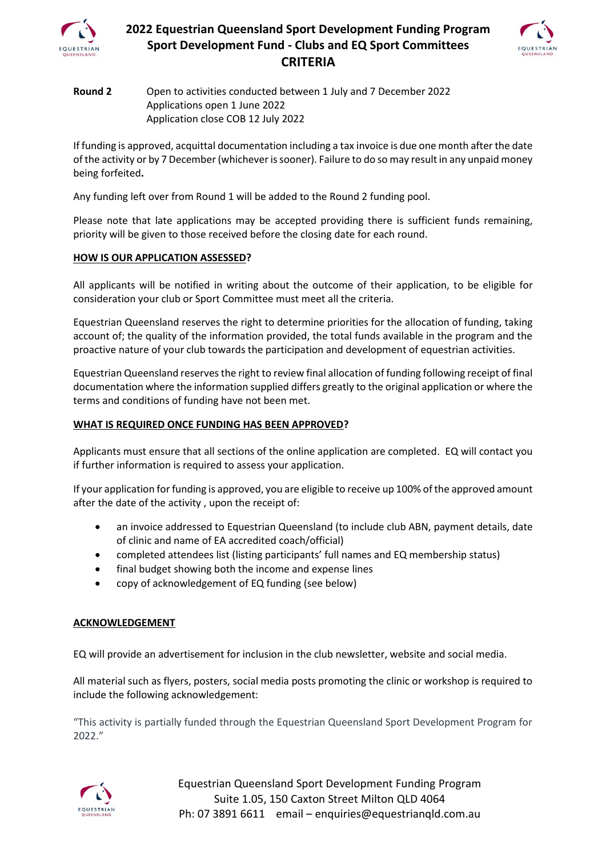

# **2022 Equestrian Queensland Sport Development Funding Program Sport Development Fund - Clubs and EQ Sport Committees CRITERIA**



### **Round 2** Open to activities conducted between 1 July and 7 December 2022 Applications open 1 June 2022 Application close COB 12 July 2022

If funding is approved, acquittal documentation including a tax invoice is due one month after the date of the activity or by 7 December (whichever is sooner). Failure to do so may result in any unpaid money being forfeited**.**

Any funding left over from Round 1 will be added to the Round 2 funding pool.

Please note that late applications may be accepted providing there is sufficient funds remaining, priority will be given to those received before the closing date for each round.

#### **HOW IS OUR APPLICATION ASSESSED?**

All applicants will be notified in writing about the outcome of their application, to be eligible for consideration your club or Sport Committee must meet all the criteria.

Equestrian Queensland reserves the right to determine priorities for the allocation of funding, taking account of; the quality of the information provided, the total funds available in the program and the proactive nature of your club towards the participation and development of equestrian activities.

Equestrian Queensland reserves the right to review final allocation of funding following receipt of final documentation where the information supplied differs greatly to the original application or where the terms and conditions of funding have not been met.

#### **WHAT IS REQUIRED ONCE FUNDING HAS BEEN APPROVED?**

Applicants must ensure that all sections of the online application are completed. EQ will contact you if further information is required to assess your application.

If your application for funding is approved, you are eligible to receive up 100% of the approved amount after the date of the activity , upon the receipt of:

- an invoice addressed to Equestrian Queensland (to include club ABN, payment details, date of clinic and name of EA accredited coach/official)
- completed attendees list (listing participants' full names and EQ membership status)
- final budget showing both the income and expense lines
- copy of acknowledgement of EQ funding (see below)

#### **ACKNOWLEDGEMENT**

EQ will provide an advertisement for inclusion in the club newsletter, website and social media.

All material such as flyers, posters, social media posts promoting the clinic or workshop is required to include the following acknowledgement:

"This activity is partially funded through the Equestrian Queensland Sport Development Program for 2022."



Equestrian Queensland Sport Development Funding Program Suite 1.05, 150 Caxton Street Milton QLD 4064 Ph: 07 3891 6611 email – enquiries@equestrianqld.com.au